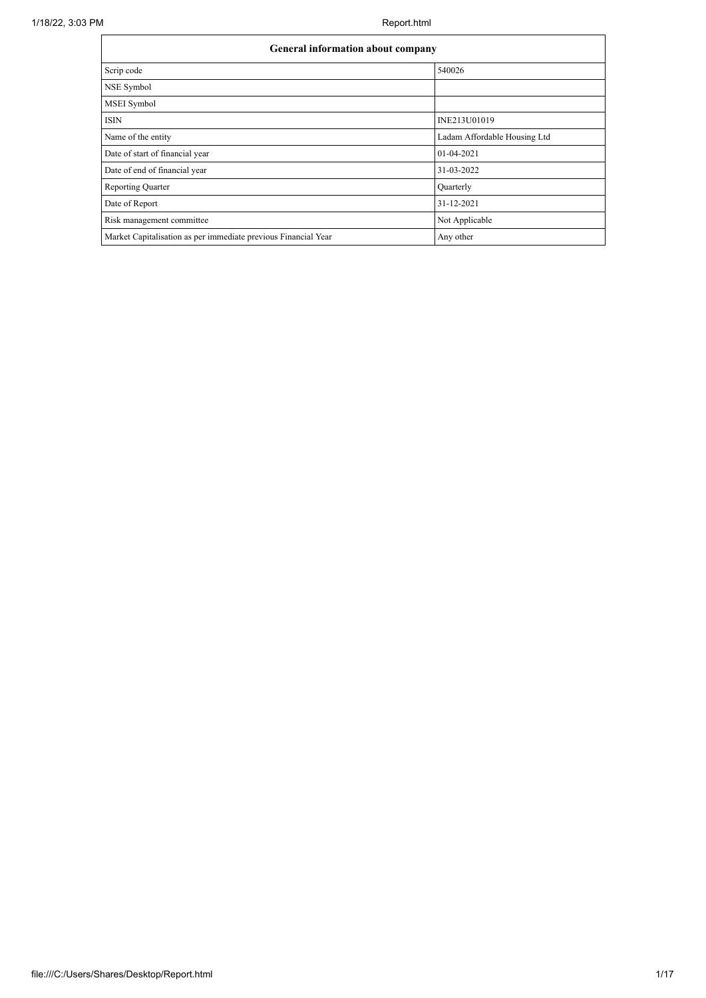| <b>General information about company</b>                       |                              |  |  |  |  |
|----------------------------------------------------------------|------------------------------|--|--|--|--|
| Scrip code                                                     | 540026                       |  |  |  |  |
| <b>NSE Symbol</b>                                              |                              |  |  |  |  |
| <b>MSEI</b> Symbol                                             |                              |  |  |  |  |
| <b>ISIN</b>                                                    | INE213U01019                 |  |  |  |  |
| Name of the entity                                             | Ladam Affordable Housing Ltd |  |  |  |  |
| Date of start of financial year                                | 01-04-2021                   |  |  |  |  |
| Date of end of financial year                                  | 31-03-2022                   |  |  |  |  |
| <b>Reporting Quarter</b>                                       | Ouarterly                    |  |  |  |  |
| Date of Report                                                 | 31-12-2021                   |  |  |  |  |
| Risk management committee                                      | Not Applicable               |  |  |  |  |
| Market Capitalisation as per immediate previous Financial Year | Any other                    |  |  |  |  |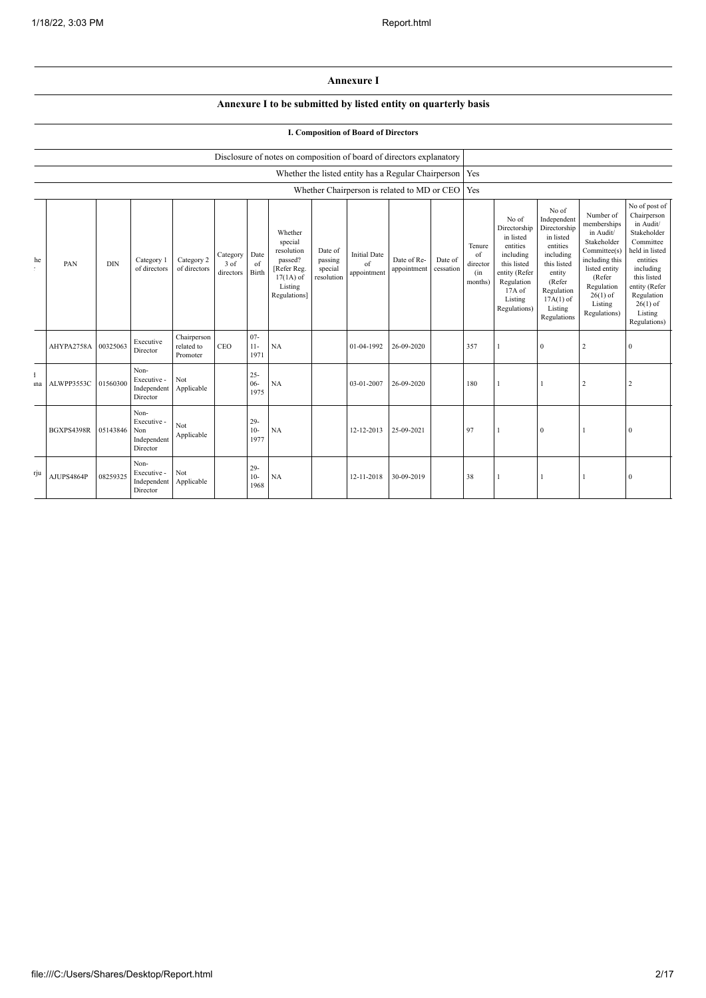## **Annexure I**

## **Annexure I to be submitted by listed entity on quarterly basis**

## **I. Composition of Board of Directors**

|          |                   |            |                                                       |                                       |                               |                          |                                                                                                      |                                             |                                          | Disclosure of notes on composition of board of directors explanatory |                      |                                            |                                                                                                                                                |                                                                                                                                                                      |                                                                                                                                                                          |                                                                                                                                                                                                         |
|----------|-------------------|------------|-------------------------------------------------------|---------------------------------------|-------------------------------|--------------------------|------------------------------------------------------------------------------------------------------|---------------------------------------------|------------------------------------------|----------------------------------------------------------------------|----------------------|--------------------------------------------|------------------------------------------------------------------------------------------------------------------------------------------------|----------------------------------------------------------------------------------------------------------------------------------------------------------------------|--------------------------------------------------------------------------------------------------------------------------------------------------------------------------|---------------------------------------------------------------------------------------------------------------------------------------------------------------------------------------------------------|
|          |                   |            |                                                       |                                       |                               |                          |                                                                                                      |                                             |                                          | Whether the listed entity has a Regular Chairperson   Yes            |                      |                                            |                                                                                                                                                |                                                                                                                                                                      |                                                                                                                                                                          |                                                                                                                                                                                                         |
|          |                   |            |                                                       |                                       |                               |                          |                                                                                                      |                                             |                                          | Whether Chairperson is related to MD or CEO   Yes                    |                      |                                            |                                                                                                                                                |                                                                                                                                                                      |                                                                                                                                                                          |                                                                                                                                                                                                         |
| he<br>٠  | PAN               | <b>DIN</b> | Category 1<br>of directors                            | Category 2<br>of directors            | Category<br>3 of<br>directors | Date<br>of<br>Birth      | Whether<br>special<br>resolution<br>passed?<br>[Refer Reg.<br>$17(1A)$ of<br>Listing<br>Regulations] | Date of<br>passing<br>special<br>resolution | <b>Initial Date</b><br>of<br>appointment | Date of Re-<br>appointment                                           | Date of<br>cessation | Tenure<br>of<br>director<br>(in<br>months) | No of<br>Directorship<br>in listed<br>entities<br>including<br>this listed<br>entity (Refer<br>Regulation<br>17A of<br>Listing<br>Regulations) | No of<br>Independent<br>Directorship<br>in listed<br>entities<br>including<br>this listed<br>entity<br>(Refer<br>Regulation<br>$17A(1)$ of<br>Listing<br>Regulations | Number of<br>memberships<br>in Audit/<br>Stakeholder<br>Committee(s)<br>including this<br>listed entity<br>(Refer<br>Regulation<br>$26(1)$ of<br>Listing<br>Regulations) | No of post of<br>Chairperson<br>in Audit/<br>Stakeholder<br>Committee<br>held in listed<br>entities<br>including<br>this listed<br>entity (Refer<br>Regulation<br>$26(1)$ of<br>Listing<br>Regulations) |
|          | AHYPA2758A        | 00325063   | Executive<br>Director                                 | Chairperson<br>related to<br>Promoter | CEO                           | $07 -$<br>$11-$<br>1971  | NA                                                                                                   |                                             | 01-04-1992                               | 26-09-2020                                                           |                      | 357                                        |                                                                                                                                                | $\bf{0}$                                                                                                                                                             | 2                                                                                                                                                                        | $\mathbf{0}$                                                                                                                                                                                            |
| Ŧ<br>ına | ALWPP3553C        | 01560300   | Non-<br>Executive -<br>Independent<br>Director        | Not<br>Applicable                     |                               | $25 -$<br>$06 -$<br>1975 | NA                                                                                                   |                                             | 03-01-2007                               | 26-09-2020                                                           |                      | 180                                        |                                                                                                                                                |                                                                                                                                                                      | $\sqrt{2}$                                                                                                                                                               | $\overline{2}$                                                                                                                                                                                          |
|          | <b>BGXPS4398R</b> | 05143846   | Non-<br>Executive -<br>Non<br>Independent<br>Director | Not<br>Applicable                     |                               | $29 -$<br>$10-$<br>1977  | NA                                                                                                   |                                             | 12-12-2013                               | 25-09-2021                                                           |                      | 97                                         |                                                                                                                                                | $\bf{0}$                                                                                                                                                             |                                                                                                                                                                          | $\theta$                                                                                                                                                                                                |
| rju      | AJUPS4864P        | 08259325   | Non-<br>Executive -<br>Independent<br>Director        | Not<br>Applicable                     |                               | $29 -$<br>$10-$<br>1968  | NA                                                                                                   |                                             | 12-11-2018                               | 30-09-2019                                                           |                      | 38                                         |                                                                                                                                                |                                                                                                                                                                      | 1                                                                                                                                                                        | $\mathbf{0}$                                                                                                                                                                                            |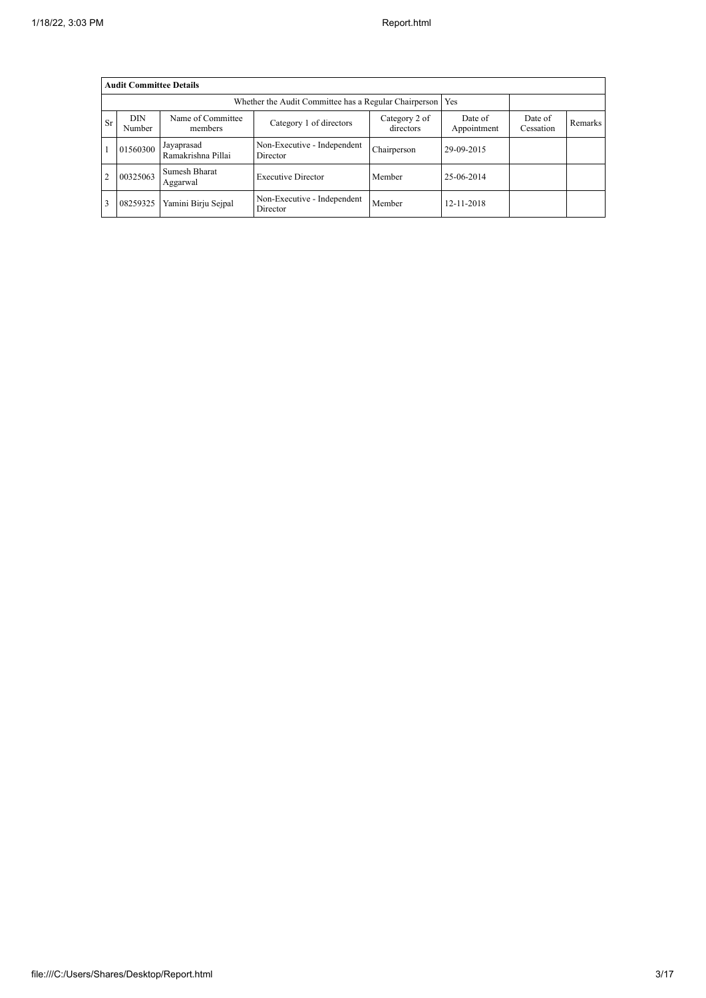|           | <b>Audit Committee Details</b> |                                  |                                                       |                            |                        |                      |                |
|-----------|--------------------------------|----------------------------------|-------------------------------------------------------|----------------------------|------------------------|----------------------|----------------|
|           |                                |                                  | Whether the Audit Committee has a Regular Chairperson |                            | Yes                    |                      |                |
| <b>Sr</b> | <b>DIN</b><br>Number           | Name of Committee<br>members     | Category 1 of directors                               | Category 2 of<br>directors | Date of<br>Appointment | Date of<br>Cessation | <b>Remarks</b> |
|           | 01560300                       | Jayaprasad<br>Ramakrishna Pillai | Non-Executive - Independent<br>Director               | Chairperson                | 29-09-2015             |                      |                |
| 2         | 00325063                       | Sumesh Bharat<br>Aggarwal        | <b>Executive Director</b>                             | Member                     | 25-06-2014             |                      |                |
| 3         | 08259325                       | Yamini Birju Sejpal              | Non-Executive - Independent<br>Director               | Member                     | 12-11-2018             |                      |                |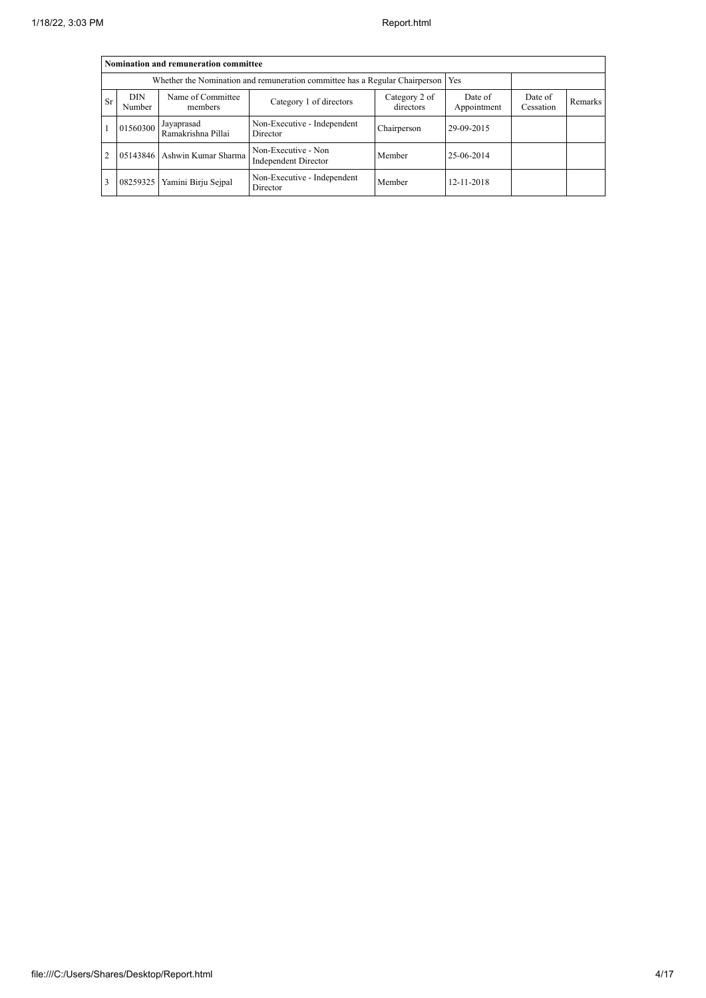|           |                      | Nomination and remuneration committee |                                                                                   |                            |                        |                      |         |
|-----------|----------------------|---------------------------------------|-----------------------------------------------------------------------------------|----------------------------|------------------------|----------------------|---------|
|           |                      |                                       | Whether the Nomination and remuneration committee has a Regular Chairperson   Yes |                            |                        |                      |         |
| <b>Sr</b> | <b>DIN</b><br>Number | Name of Committee<br>members          | Category 1 of directors                                                           | Category 2 of<br>directors | Date of<br>Appointment | Date of<br>Cessation | Remarks |
|           | 01560300             | Jayaprasad<br>Ramakrishna Pillai      | Non-Executive - Independent<br>Director                                           | Chairperson                | 29-09-2015             |                      |         |
|           |                      | 05143846 Ashwin Kumar Sharma          | Non-Executive - Non<br>Independent Director                                       | Member                     | 25-06-2014             |                      |         |
|           | 08259325             | Yamini Birju Sejpal                   | Non-Executive - Independent<br>Director                                           | Member                     | 12-11-2018             |                      |         |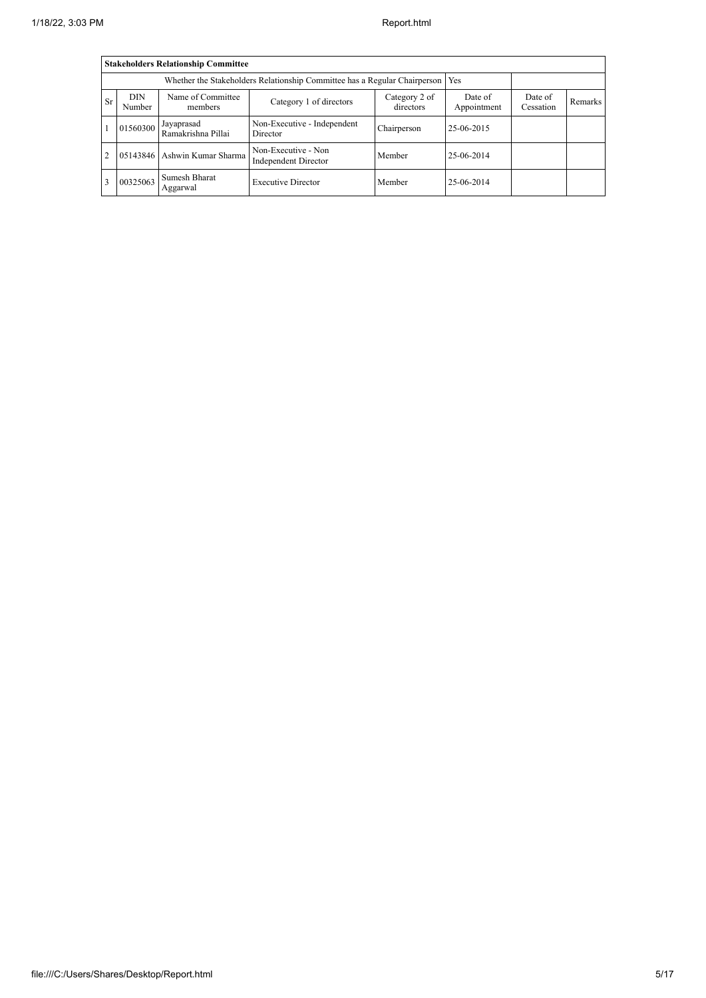|           |                      | <b>Stakeholders Relationship Committee</b> |                                                                                 |                            |                        |                      |         |
|-----------|----------------------|--------------------------------------------|---------------------------------------------------------------------------------|----------------------------|------------------------|----------------------|---------|
|           |                      |                                            | Whether the Stakeholders Relationship Committee has a Regular Chairperson   Yes |                            |                        |                      |         |
| <b>Sr</b> | <b>DIN</b><br>Number | Name of Committee<br>members               | Category 1 of directors                                                         | Category 2 of<br>directors | Date of<br>Appointment | Date of<br>Cessation | Remarks |
|           | 01560300             | Jayaprasad<br>Ramakrishna Pillai           | Non-Executive - Independent<br>Director                                         | Chairperson                | 25-06-2015             |                      |         |
|           | 05143846             | Ashwin Kumar Sharma                        | Non-Executive - Non<br>Independent Director                                     | Member                     | 25-06-2014             |                      |         |
|           | 00325063             | Sumesh Bharat<br>Aggarwal                  | <b>Executive Director</b>                                                       | Member                     | 25-06-2014             |                      |         |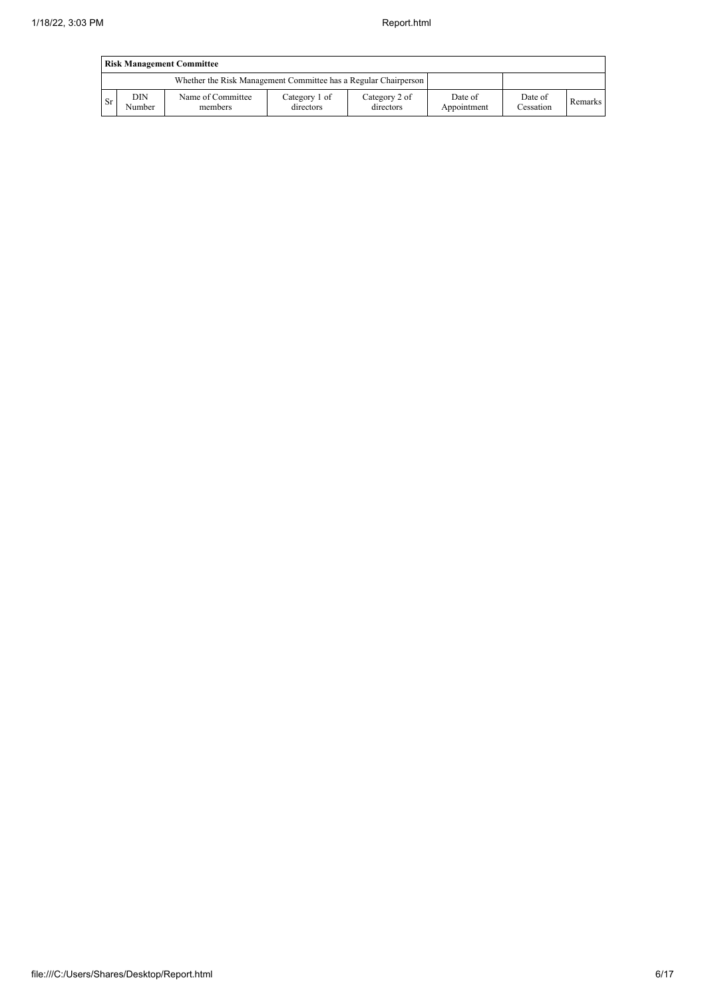|           | <b>Risk Management Committee</b> |                                                                 |                            |                            |                        |                      |         |  |
|-----------|----------------------------------|-----------------------------------------------------------------|----------------------------|----------------------------|------------------------|----------------------|---------|--|
|           |                                  | Whether the Risk Management Committee has a Regular Chairperson |                            |                            |                        |                      |         |  |
| <b>Sr</b> | DIN<br>Number                    | Name of Committee<br>members                                    | Category 1 of<br>directors | Category 2 of<br>directors | Date of<br>Appointment | Date of<br>Cessation | Remarks |  |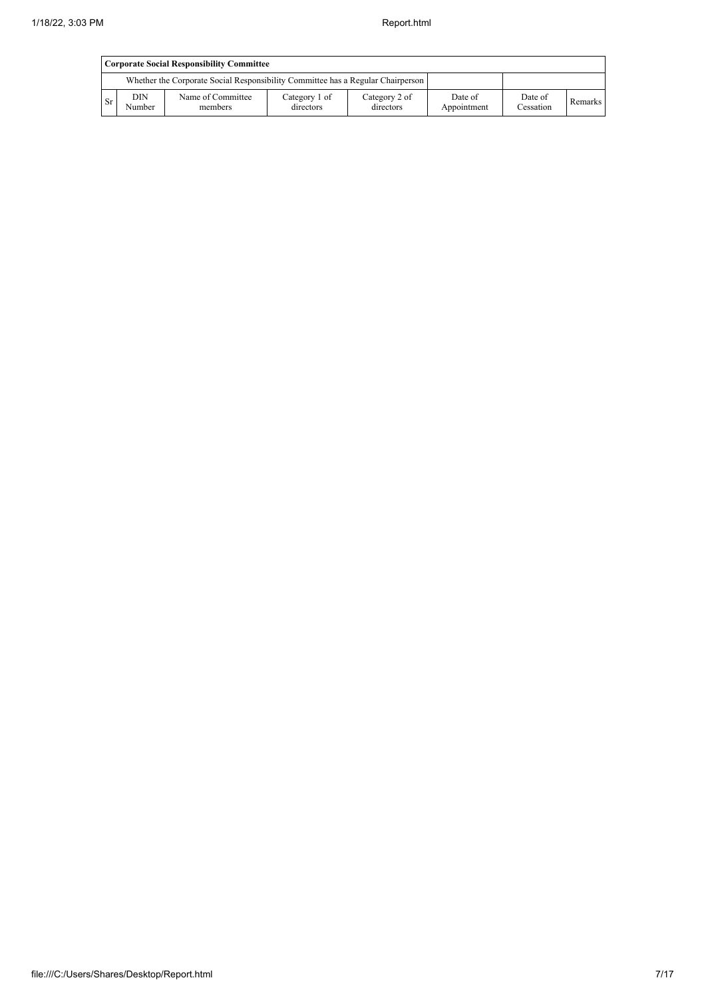|     | <b>Corporate Social Responsibility Committee</b>                                |                              |                            |                            |                        |                      |         |  |
|-----|---------------------------------------------------------------------------------|------------------------------|----------------------------|----------------------------|------------------------|----------------------|---------|--|
|     | Whether the Corporate Social Responsibility Committee has a Regular Chairperson |                              |                            |                            |                        |                      |         |  |
| Sr. | DIN<br>Number                                                                   | Name of Committee<br>members | Category 1 of<br>directors | Category 2 of<br>directors | Date of<br>Appointment | Date of<br>Cessation | Remarks |  |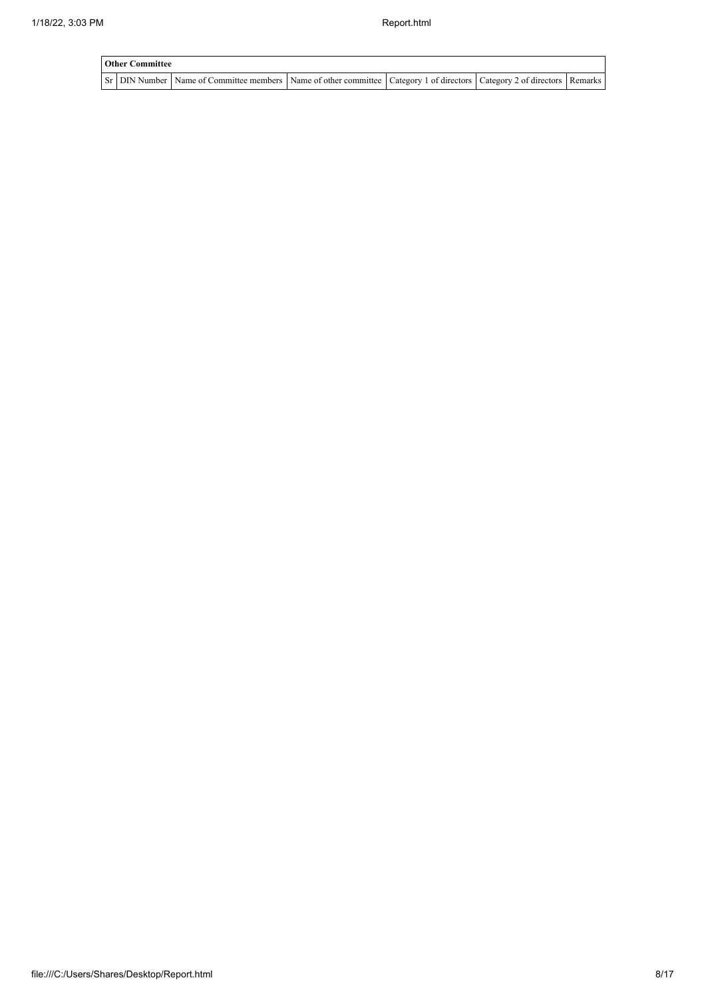| <b>Other Committee</b> |                                                                                                                                                  |  |  |  |  |
|------------------------|--------------------------------------------------------------------------------------------------------------------------------------------------|--|--|--|--|
|                        | Sr   DIN Number   Name of Committee members   Name of other committee   Category 1 of directors   Category 2 of directors   Remarks <sup> </sup> |  |  |  |  |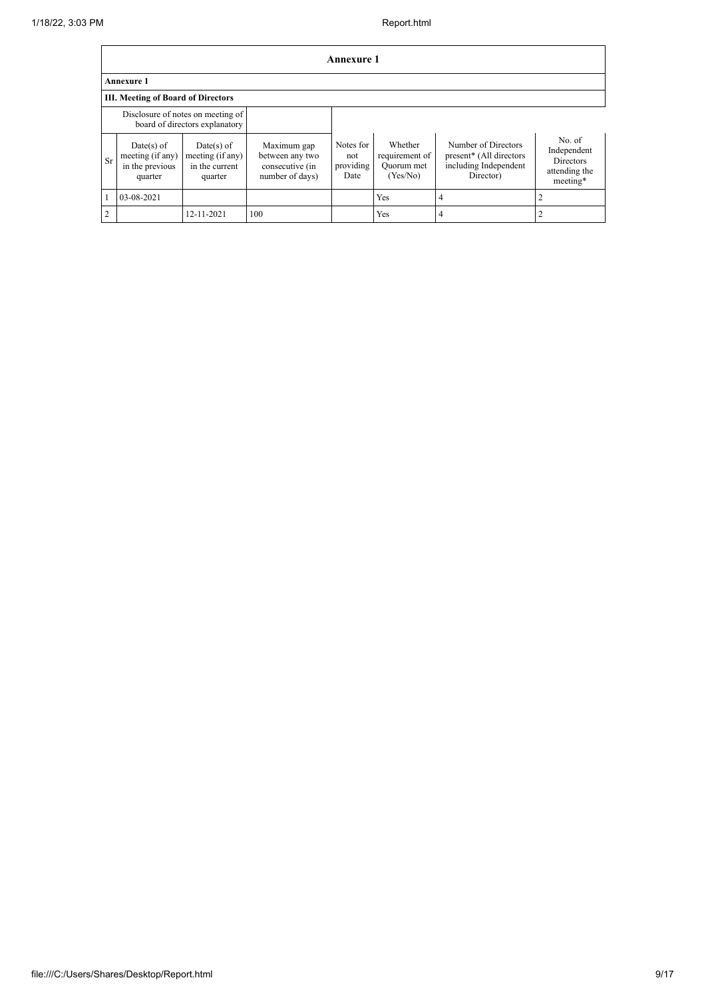|                | Annexure 1                                                   |                                                                     |                                                                      |                                       |                                                     |                                                                                                  |                                                                 |  |  |
|----------------|--------------------------------------------------------------|---------------------------------------------------------------------|----------------------------------------------------------------------|---------------------------------------|-----------------------------------------------------|--------------------------------------------------------------------------------------------------|-----------------------------------------------------------------|--|--|
|                | <b>Annexure 1</b>                                            |                                                                     |                                                                      |                                       |                                                     |                                                                                                  |                                                                 |  |  |
|                | <b>III.</b> Meeting of Board of Directors                    |                                                                     |                                                                      |                                       |                                                     |                                                                                                  |                                                                 |  |  |
|                |                                                              | Disclosure of notes on meeting of<br>board of directors explanatory |                                                                      |                                       |                                                     |                                                                                                  |                                                                 |  |  |
| <b>Sr</b>      | Date(s) of<br>meeting (if any)<br>in the previous<br>quarter | $Date(s)$ of<br>meeting (if any)<br>in the current<br>quarter       | Maximum gap<br>between any two<br>consecutive (in<br>number of days) | Notes for<br>not<br>providing<br>Date | Whether<br>requirement of<br>Quorum met<br>(Yes/No) | Number of Directors<br>present <sup>*</sup> (All directors<br>including Independent<br>Director) | No. of<br>Independent<br>Directors<br>attending the<br>meeting* |  |  |
|                | 03-08-2021                                                   |                                                                     |                                                                      |                                       | Yes                                                 | 4                                                                                                |                                                                 |  |  |
| $\overline{2}$ |                                                              | 12-11-2021                                                          | 100                                                                  |                                       | Yes                                                 | 4                                                                                                |                                                                 |  |  |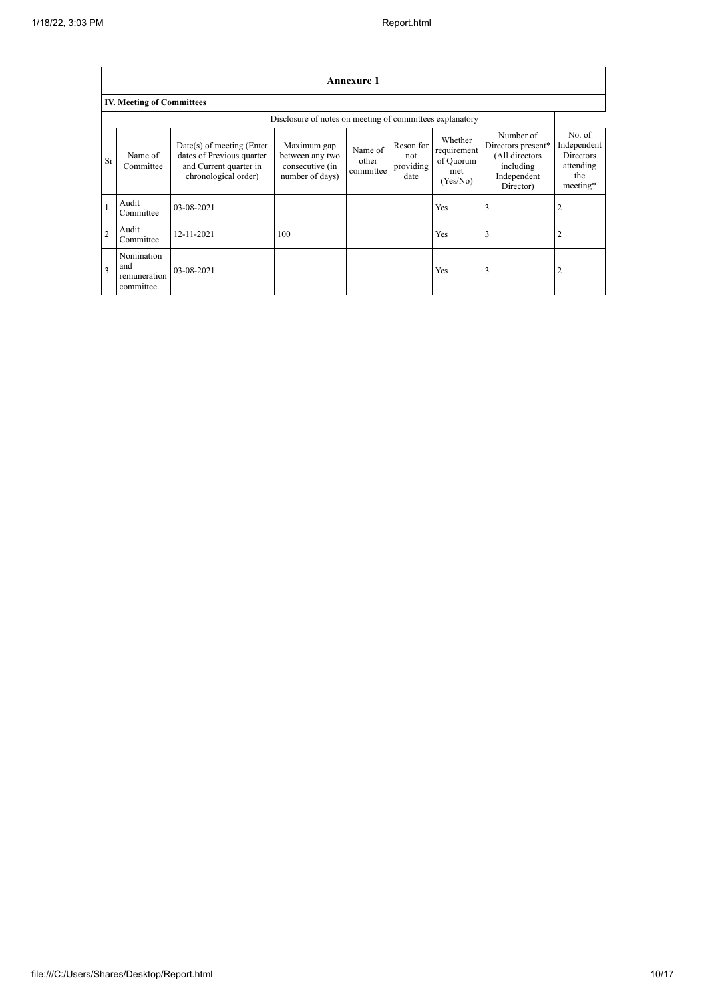|                                                          | Annexure 1                                     |                                                                                                            |                                                                      |                               |                                       |                                                        |                                                                                            |                                                                           |  |
|----------------------------------------------------------|------------------------------------------------|------------------------------------------------------------------------------------------------------------|----------------------------------------------------------------------|-------------------------------|---------------------------------------|--------------------------------------------------------|--------------------------------------------------------------------------------------------|---------------------------------------------------------------------------|--|
|                                                          | <b>IV. Meeting of Committees</b>               |                                                                                                            |                                                                      |                               |                                       |                                                        |                                                                                            |                                                                           |  |
| Disclosure of notes on meeting of committees explanatory |                                                |                                                                                                            |                                                                      |                               |                                       |                                                        |                                                                                            |                                                                           |  |
| <b>Sr</b>                                                | Name of<br>Committee                           | $Date(s)$ of meeting (Enter<br>dates of Previous quarter<br>and Current quarter in<br>chronological order) | Maximum gap<br>between any two<br>consecutive (in<br>number of days) | Name of<br>other<br>committee | Reson for<br>not<br>providing<br>date | Whether<br>requirement<br>of Ouorum<br>met<br>(Yes/No) | Number of<br>Directors present*<br>(All directors<br>including<br>Independent<br>Director) | No. of<br>Independent<br><b>Directors</b><br>attending<br>the<br>meeting* |  |
|                                                          | Audit<br>Committee                             | 03-08-2021                                                                                                 |                                                                      |                               |                                       | Yes                                                    | 3                                                                                          | 2                                                                         |  |
| $\overline{2}$                                           | Audit<br>Committee                             | 12-11-2021                                                                                                 | 100                                                                  |                               |                                       | Yes                                                    | 3                                                                                          | 2                                                                         |  |
| $\overline{\mathbf{3}}$                                  | Nomination<br>and<br>remuneration<br>committee | 03-08-2021                                                                                                 |                                                                      |                               |                                       | Yes                                                    | 3                                                                                          | 2                                                                         |  |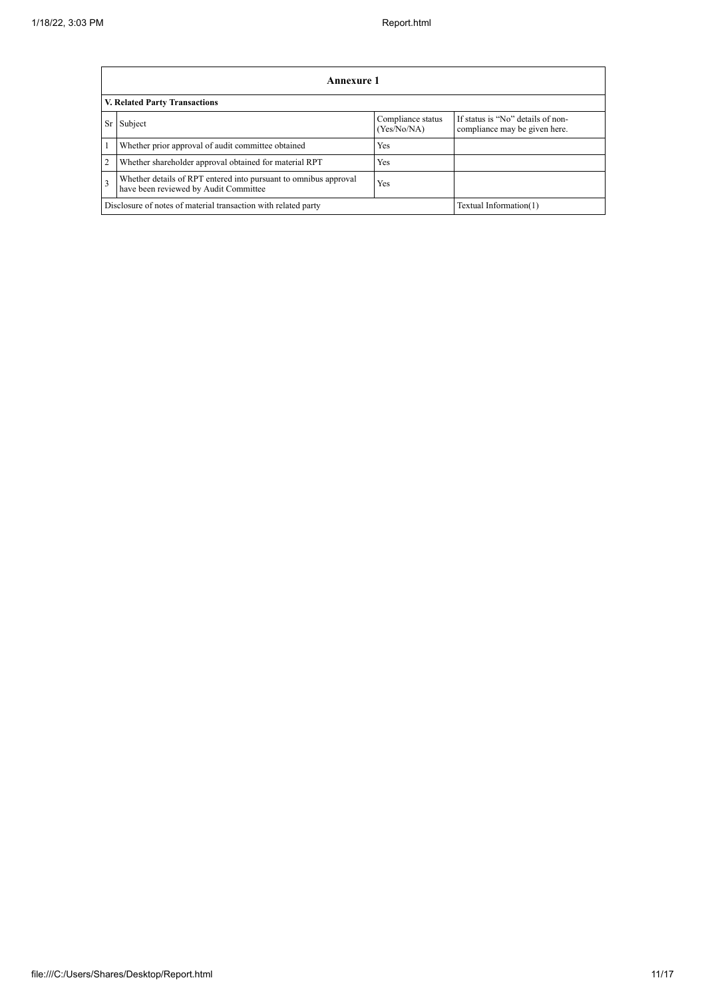|                | <b>Annexure 1</b>                                                                                         |                                  |                                                                    |  |  |  |  |
|----------------|-----------------------------------------------------------------------------------------------------------|----------------------------------|--------------------------------------------------------------------|--|--|--|--|
|                | V. Related Party Transactions                                                                             |                                  |                                                                    |  |  |  |  |
| <b>Sr</b>      | Subject                                                                                                   | Compliance status<br>(Yes/No/NA) | If status is "No" details of non-<br>compliance may be given here. |  |  |  |  |
|                | Whether prior approval of audit committee obtained                                                        | Yes                              |                                                                    |  |  |  |  |
| $\overline{2}$ | Whether shareholder approval obtained for material RPT                                                    | Yes                              |                                                                    |  |  |  |  |
| 3              | Whether details of RPT entered into pursuant to omnibus approval<br>have been reviewed by Audit Committee | Yes                              |                                                                    |  |  |  |  |
|                | Disclosure of notes of material transaction with related party<br>Textual Information(1)                  |                                  |                                                                    |  |  |  |  |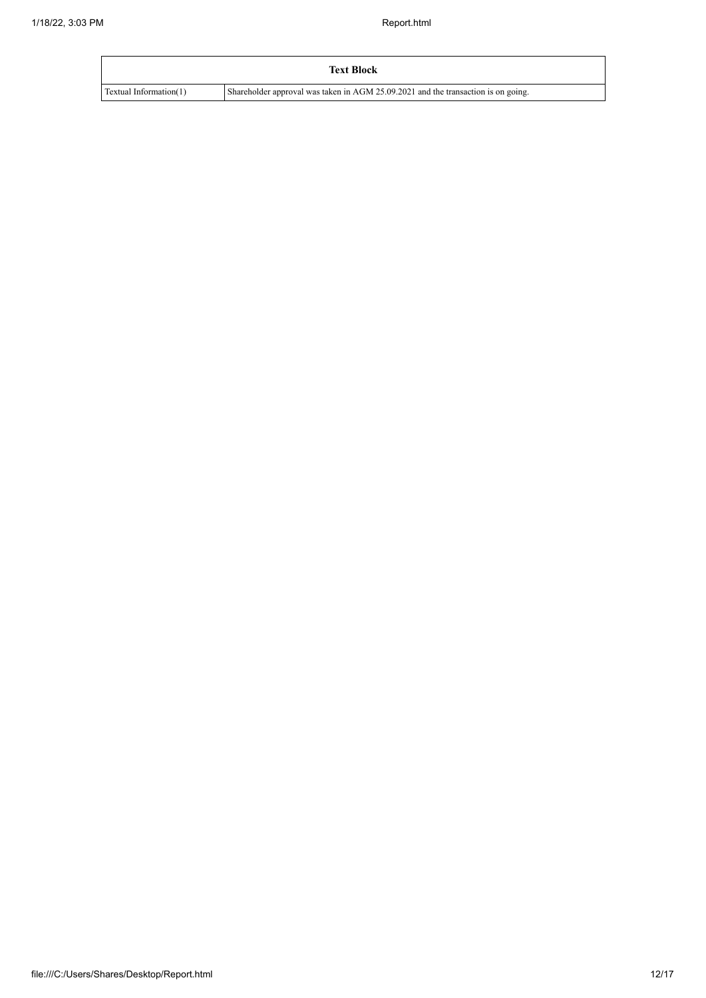|                        | <b>Text Block</b>                                                                 |
|------------------------|-----------------------------------------------------------------------------------|
| Textual Information(1) | Shareholder approval was taken in AGM 25.09.2021 and the transaction is on going. |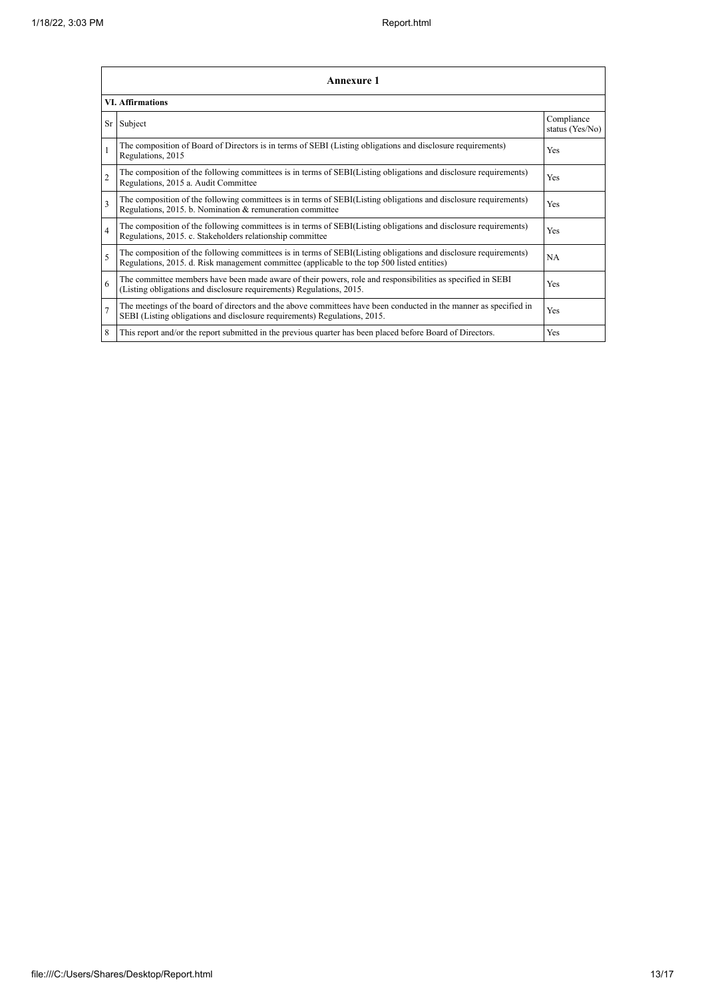|                         | Annexure 1                                                                                                                                                                                                      |                               |  |  |  |
|-------------------------|-----------------------------------------------------------------------------------------------------------------------------------------------------------------------------------------------------------------|-------------------------------|--|--|--|
| <b>VI.</b> Affirmations |                                                                                                                                                                                                                 |                               |  |  |  |
| Sr                      | Subject                                                                                                                                                                                                         | Compliance<br>status (Yes/No) |  |  |  |
|                         | The composition of Board of Directors is in terms of SEBI (Listing obligations and disclosure requirements)<br>Regulations, 2015                                                                                | Yes                           |  |  |  |
| $\overline{2}$          | The composition of the following committees is in terms of SEBI(Listing obligations and disclosure requirements)<br>Regulations, 2015 a. Audit Committee                                                        | <b>Yes</b>                    |  |  |  |
| 3                       | The composition of the following committees is in terms of SEBI(Listing obligations and disclosure requirements)<br>Regulations, 2015. b. Nomination & remuneration committee                                   | <b>Yes</b>                    |  |  |  |
| $\overline{4}$          | The composition of the following committees is in terms of SEBI(Listing obligations and disclosure requirements)<br>Regulations, 2015. c. Stakeholders relationship committee                                   | Yes                           |  |  |  |
| $\varsigma$             | The composition of the following committees is in terms of SEBI(Listing obligations and disclosure requirements)<br>Regulations, 2015. d. Risk management committee (applicable to the top 500 listed entities) | <b>NA</b>                     |  |  |  |
| 6                       | The committee members have been made aware of their powers, role and responsibilities as specified in SEBI<br>(Listing obligations and disclosure requirements) Regulations, 2015.                              | Yes                           |  |  |  |
| $\overline{7}$          | The meetings of the board of directors and the above committees have been conducted in the manner as specified in<br>SEBI (Listing obligations and disclosure requirements) Regulations, 2015.                  | Yes                           |  |  |  |
| 8                       | This report and/or the report submitted in the previous quarter has been placed before Board of Directors.                                                                                                      | <b>Yes</b>                    |  |  |  |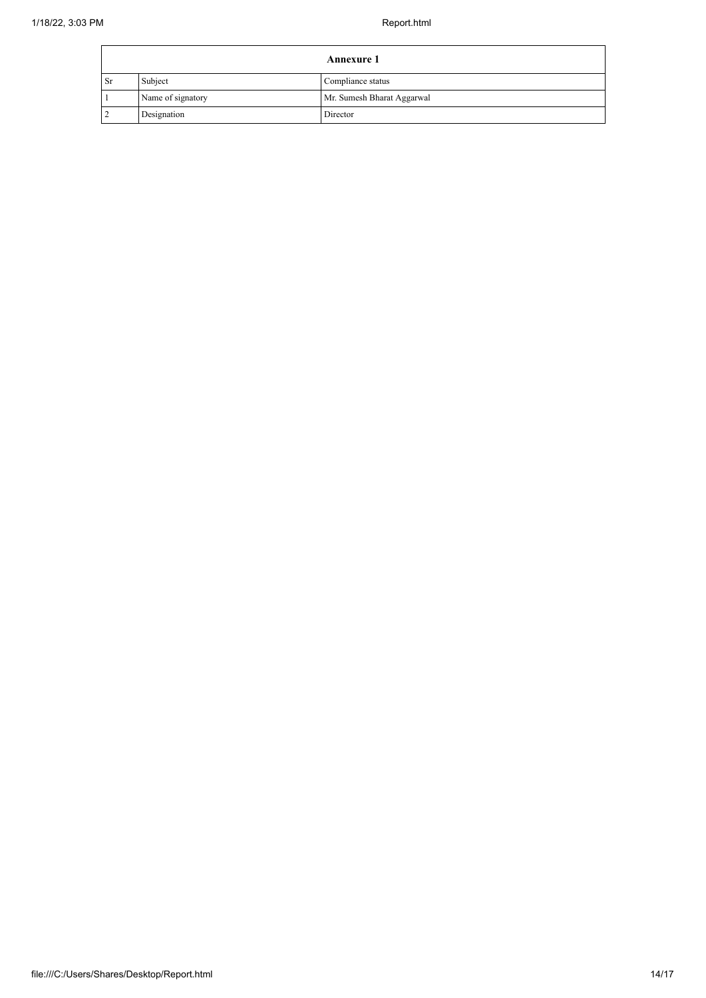|           | <b>Annexure 1</b> |                            |  |  |
|-----------|-------------------|----------------------------|--|--|
| <b>Sr</b> | Subject           | Compliance status          |  |  |
|           | Name of signatory | Mr. Sumesh Bharat Aggarwal |  |  |
|           | Designation       | Director                   |  |  |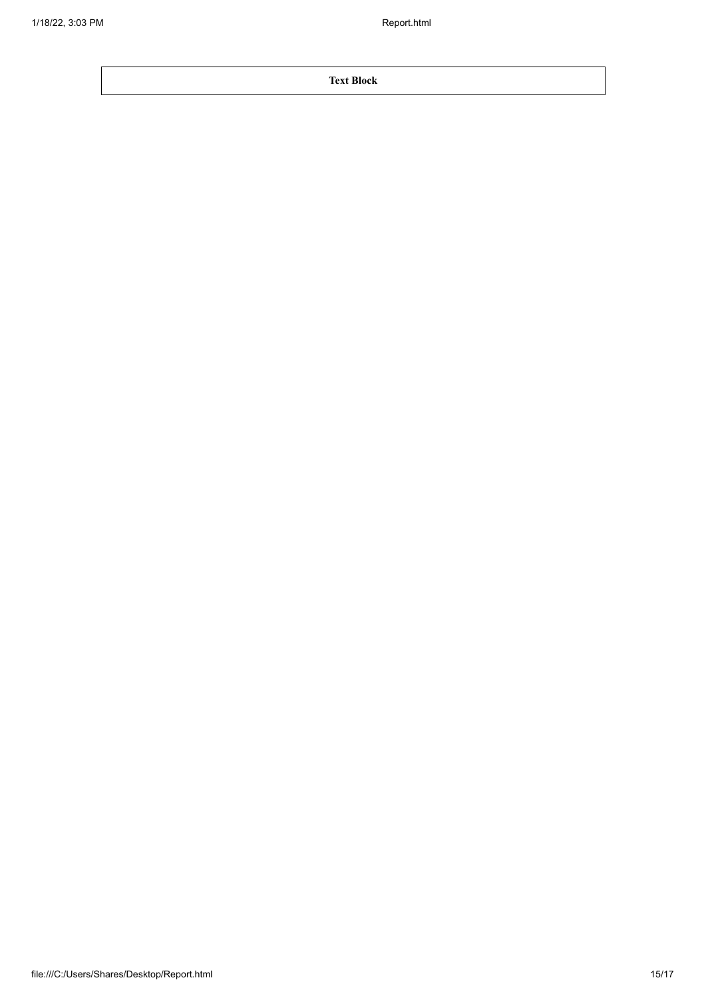**Text Block**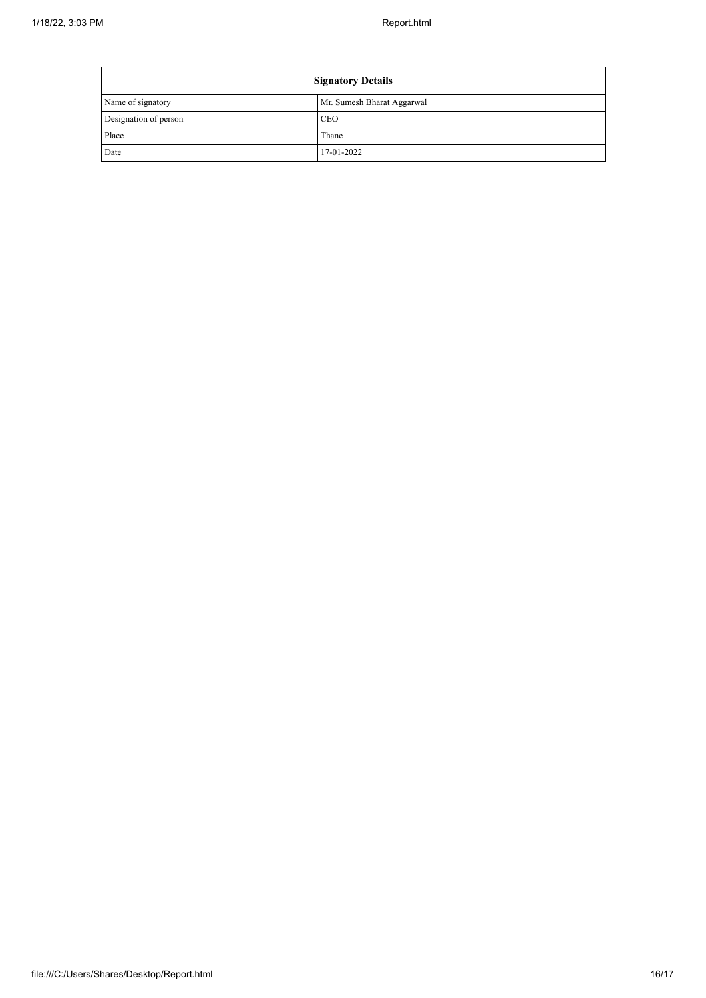$\blacksquare$ 

|                       | <b>Signatory Details</b>   |  |  |
|-----------------------|----------------------------|--|--|
| Name of signatory     | Mr. Sumesh Bharat Aggarwal |  |  |
| Designation of person | <b>CEO</b>                 |  |  |
| Place                 | Thane                      |  |  |
| Date                  | 17-01-2022                 |  |  |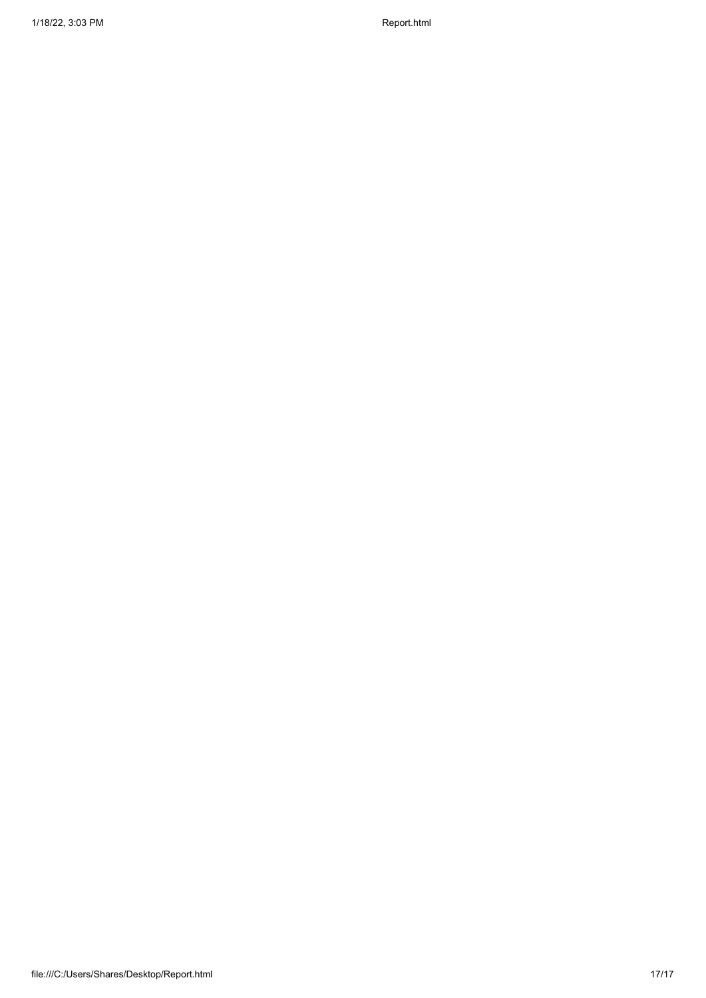1/18/22, 3:03 PM Report.html